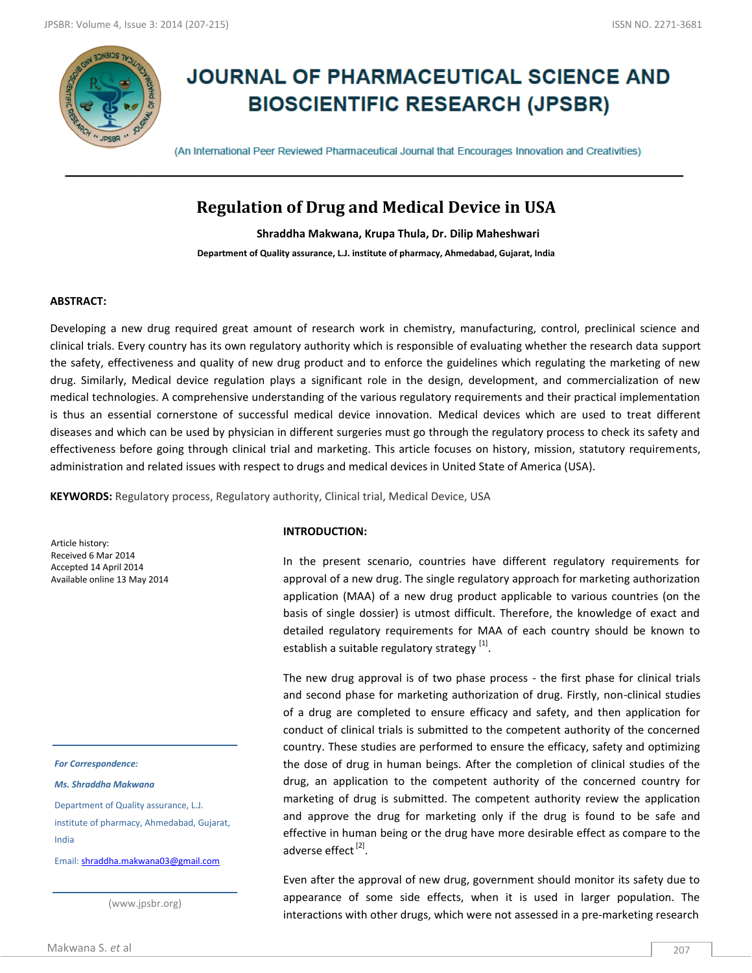

# **JOURNAL OF PHARMACEUTICAL SCIENCE AND BIOSCIENTIFIC RESEARCH (JPSBR)**

(An International Peer Reviewed Pharmaceutical Journal that Encourages Innovation and Creativities)

# **Regulation of Drug and Medical Device in USA**

**Shraddha Makwana, Krupa Thula, Dr. Dilip Maheshwari**

**Department of Quality assurance, L.J. institute of pharmacy, Ahmedabad, Gujarat, India**

#### **ABSTRACT:**

Developing a new drug required great amount of research work in chemistry, manufacturing, control, preclinical science and clinical trials. Every country has its own regulatory authority which is responsible of evaluating whether the research data support the safety, effectiveness and quality of new drug product and to enforce the guidelines which regulating the marketing of new drug. Similarly, Medical device regulation plays a significant role in the design, development, and commercialization of new medical technologies. A comprehensive understanding of the various regulatory requirements and their practical implementation is thus an essential cornerstone of successful medical device innovation. Medical devices which are used to treat different diseases and which can be used by physician in different surgeries must go through the regulatory process to check its safety and effectiveness before going through clinical trial and marketing. This article focuses on history, mission, statutory requirements, administration and related issues with respect to drugs and medical devices in United State of America (USA).

**KEYWORDS:** Regulatory process, Regulatory authority, Clinical trial, Medical Device, USA

Article history: Received 6 Mar 2014 Accepted 14 April 2014 Available online 13 May 2014

*For Correspondence:*

*Ms. Shraddha Makwana*

Department of Quality assurance, L.J. institute of pharmacy, Ahmedabad, Gujarat, India

Email: [shraddha.makwana03@gmail.com](mailto:shraddha.makwana03@gmail.com)

(www.jpsbr.org)

#### **INTRODUCTION:**

 In the present scenario, countries have different regulatory requirements for approval of a new drug. The single regulatory approach for marketing authorization application (MAA) of a new drug product applicable to various countries (on the basis of single dossier) is utmost difficult. Therefore, the knowledge of exact and detailed regulatory requirements for MAA of each country should be known to establish a suitable regulatory strategy  $^{[1]}$ .

 The new drug approval is of two phase process - the first phase for clinical trials and second phase for marketing authorization of drug. Firstly, non-clinical studies of a drug are completed to ensure efficacy and safety, and then application for conduct of clinical trials is submitted to the competent authority of the concerned country. These studies are performed to ensure the efficacy, safety and optimizing the dose of drug in human beings. After the completion of clinical studies of the drug, an application to the competent authority of the concerned country for marketing of drug is submitted. The competent authority review the application and approve the drug for marketing only if the drug is found to be safe and effective in human being or the drug have more desirable effect as compare to the adverse effect <sup>[2]</sup>.

Even after the approval of new drug, government should monitor its safety due to appearance of some side effects, when it is used in larger population. The interactions with other drugs, which were not assessed in a pre-marketing research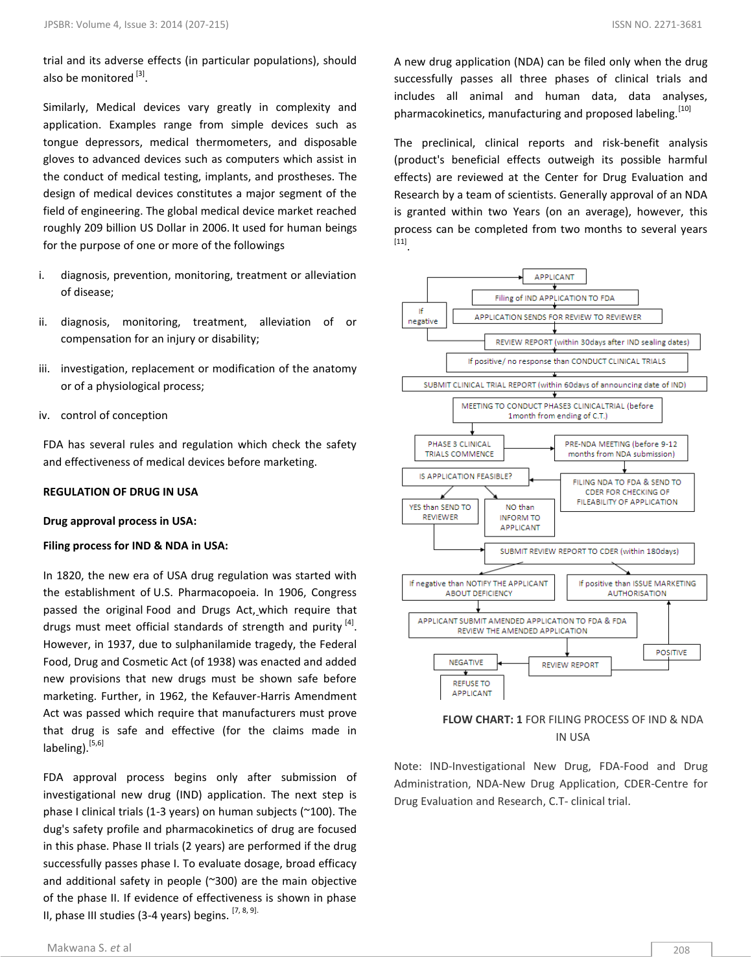trial and its adverse effects (in particular populations), should also be monitored [3].

Similarly, Medical devices vary greatly in complexity and application. Examples range from simple devices such as tongue depressors, medical thermometers, and disposable gloves to advanced devices such as computers which assist in the conduct of medical testing, implants, and prostheses. The design of medical devices constitutes a major segment of the field of engineering. The global medical device market reached roughly 209 billion US Dollar in 2006. It used for human beings for the purpose of one or more of the followings

- i. diagnosis, prevention, monitoring, treatment or alleviation of disease;
- ii. diagnosis, monitoring, treatment, alleviation of or compensation for an injury or disability;
- iii. investigation, replacement or modification of the anatomy or of a physiological process;
- iv. control of conception

FDA has several rules and regulation which check the safety and effectiveness of medical devices before marketing.

#### **REGULATION OF DRUG IN USA**

#### **Drug approval process in USA:**

#### **Filing process for IND & NDA in USA:**

In 1820, the new era of USA drug regulation was started with the establishment of U.S. Pharmacopoeia. In 1906, Congress passed the original Food and Drugs Act, which require that drugs must meet official standards of strength and purity [4]. However, in 1937, due to sulphanilamide tragedy, the Federal Food, Drug and Cosmetic Act (of 1938) was enacted and added new provisions that new drugs must be shown safe before marketing. Further, in 1962, the Kefauver-Harris Amendment Act was passed which require that manufacturers must prove that drug is safe and effective (for the claims made in labeling). $[5,6]$ 

FDA approval process begins only after submission of investigational new drug (IND) application. The next step is phase I clinical trials (1-3 years) on human subjects (~100). The dug's safety profile and pharmacokinetics of drug are focused in this phase. Phase II trials (2 years) are performed if the drug successfully passes phase I. To evaluate dosage, broad efficacy and additional safety in people (~300) are the main objective of the phase II. If evidence of effectiveness is shown in phase II, phase III studies (3-4 years) begins.  $[7, 8, 9]$ .

A new drug application (NDA) can be filed only when the drug successfully passes all three phases of clinical trials and includes all animal and human data, data analyses, pharmacokinetics, manufacturing and proposed labeling.<sup>[10]</sup>

The preclinical, clinical reports and risk-benefit analysis (product's beneficial effects outweigh its possible harmful effects) are reviewed at the Center for Drug Evaluation and Research by a team of scientists. Generally approval of an NDA is granted within two Years (on an average), however, this process can be completed from two months to several years [11] .





Note: IND-Investigational New Drug, FDA-Food and Drug Administration, NDA-New Drug Application, CDER-Centre for Drug Evaluation and Research, C.T- clinical trial.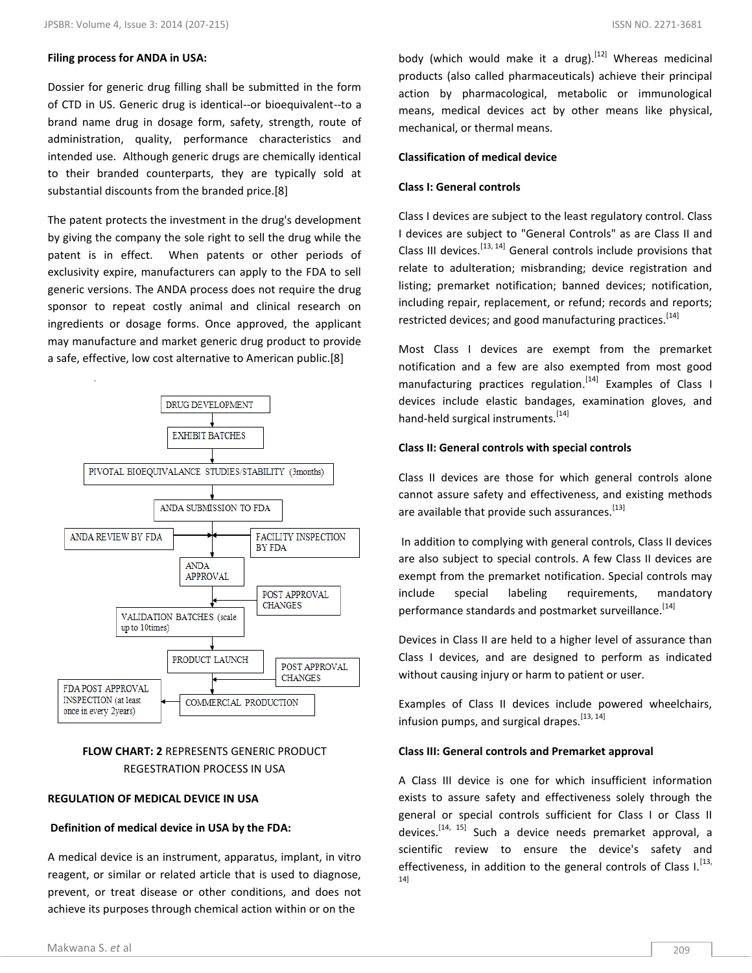#### **Filing process for ANDA in USA:**

Dossier for generic drug filling shall be submitted in the form of CTD in US. Generic drug is identical--or bioequivalent--to a brand name drug in dosage form, safety, strength, route of administration, quality, performance characteristics and intended use. Although generic drugs are chemically identical to their branded counterparts, they are typically sold at substantial discounts from the branded price.[8]

The patent protects the investment in the drug's development by giving the company the sole right to sell the drug while the patent is in effect. When patents or other periods of exclusivity expire, manufacturers can apply to the FDA to sell generic versions. The ANDA process does not require the drug sponsor to repeat costly animal and clinical research on ingredients or dosage forms. Once approved, the applicant may manufacture and market generic drug product to provide a safe, effective, low cost alternative to American public.[8]



# **FLOW CHART: 2** REPRESENTS GENERIC PRODUCT REGESTRATION PROCESS IN USA

#### **REGULATION OF MEDICAL DEVICE IN USA**

#### **Definition of medical device in USA by the FDA:**

A medical device is an instrument, apparatus, implant, in vitro reagent, or similar or related article that is used to diagnose, prevent, or treat disease or other conditions, and does not achieve its purposes through chemical action within or on the

body (which would make it a [drug\)](http://en.wikipedia.org/wiki/Drug).<sup>[12]</sup> Whereas medicinal products (also called pharmaceuticals) achieve their principal action by pharmacological, metabolic or immunological means, medical devices act by other means like physical, mechanical, or thermal means.

#### **Classification of medical device**

#### **Class I: General controls**

Class I devices are subject to the least regulatory control. Class I devices are subject to "General Controls" as are Class II and Class III devices.  $[13, 14]$  General controls include provisions that relate to adulteration; misbranding; device registration and listing; premarket notification; banned devices; notification, including repair, replacement, or refund; records and reports; restricted devices; and good manufacturing practices.<sup>[14]</sup>

Most Class I devices are exempt from the premarket notification and a few are also exempted from most good manufacturing practices regulation.<sup>[14]</sup> Examples of Class I devices include elastic bandages, examination gloves, and hand-held surgical instruments.<sup>[14]</sup>

#### **Class II: General controls with special controls**

Class II devices are those for which general controls alone cannot assure safety and effectiveness, and existing methods are available that provide such assurances.<sup>[13]</sup>

In addition to complying with general controls, Class II devices are also subject to special controls. A few Class II devices are exempt from the premarket notification. Special controls may include special labeling requirements, mandatory performance standards and postmarket [surveillance.](http://en.wikipedia.org/wiki/Postmarketing_surveillance)<sup>[14]</sup>

Devices in Class II are held to a higher level of assurance than Class I devices, and are designed to perform as indicated without causing injury or harm to patient or user.

Examples of Class II devices include powered wheelchairs, infusion pumps, and surgical drapes.<sup>[13, 14]</sup>

#### **Class III: General controls and Premarket approval**

A Class III device is one for which insufficient information exists to assure safety and effectiveness solely through the general or special controls sufficient for Class I or Class II devices.<sup>[14, 15]</sup> Such a device needs [premarket approval,](http://en.wikipedia.org/wiki/Premarket_approval) a scientific review to ensure the device's safety and effectiveness, in addition to the general controls of Class  $I$ .  $^{[13]}$ 14]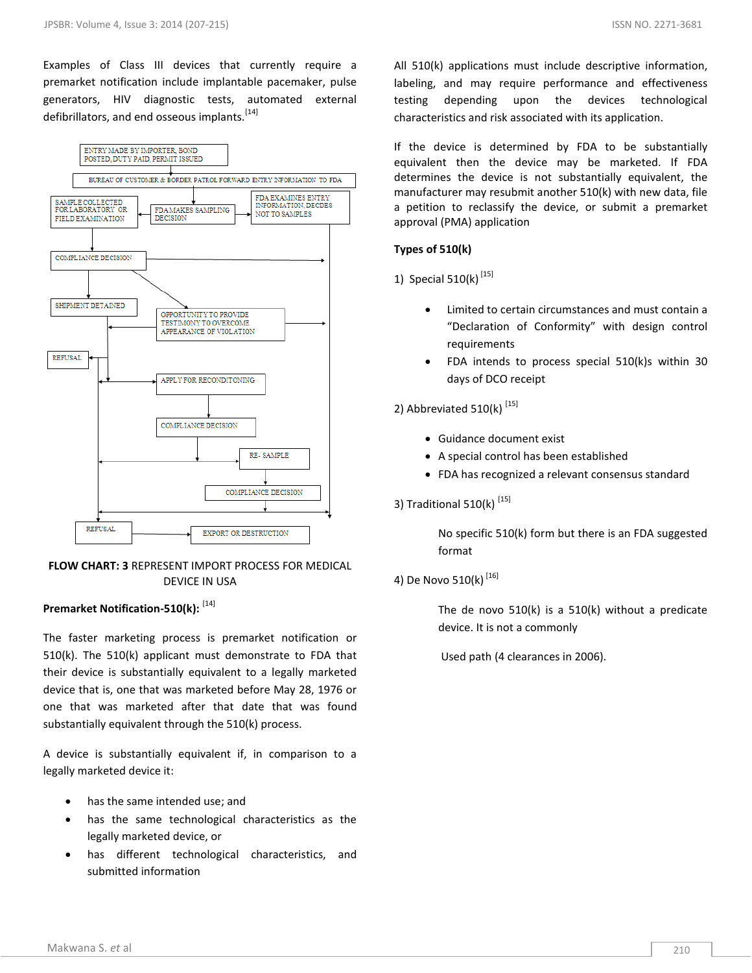Examples of Class III devices that currently require a premarket notification include implantable pacemaker, pulse generators, HIV diagnostic tests, automated external defibrillators, and end osseous implants.<sup>[14]</sup>



#### **FLOW CHART: 3** REPRESENT IMPORT PROCESS FOR MEDICAL DEVICE IN USA

### **Premarket Notification-510(k):** [14]

The faster marketing process is premarket notification or 510(k). The 510(k) applicant must demonstrate to FDA that their device is substantially equivalent to a legally marketed device that is, one that was marketed before May 28, 1976 or one that was marketed after that date that was found substantially equivalent through the 510(k) process.

A device is substantially equivalent if, in comparison to a legally marketed device it:

- has the same intended use; and
- has the same technological characteristics as the legally marketed device, or
- has different technological characteristics, and submitted information

All 510(k) applications must include descriptive information, labeling, and may require performance and effectiveness testing depending upon the devices technological characteristics and risk associated with its application.

If the device is determined by FDA to be substantially equivalent then the device may be marketed. If FDA determines the device is not substantially equivalent, the manufacturer may resubmit another 510(k) with new data, file a petition to reclassify the device, or submit a premarket approval (PMA) application

#### **Types of 510(k)**

1)Special 510(k) [15]

- Limited to certain circumstances and must contain a "Declaration of Conformity" with design control requirements
- FDA intends to process special 510(k)s within 30 days of DCO receipt

# 2) Abbreviated  $510(k)$ <sup>[15]</sup>

- Guidance document exist
- A special control has been established
- FDA has recognized a relevant consensus standard

#### 3) Traditional  $510(k)$ <sup>[15]</sup>

No specific 510(k) form but there is an FDA suggested format

# 4) De Novo 510(k)<sup>[16]</sup>

The de novo 510(k) is a 510(k) without a predicate device. It is not a commonly

Used path (4 clearances in 2006).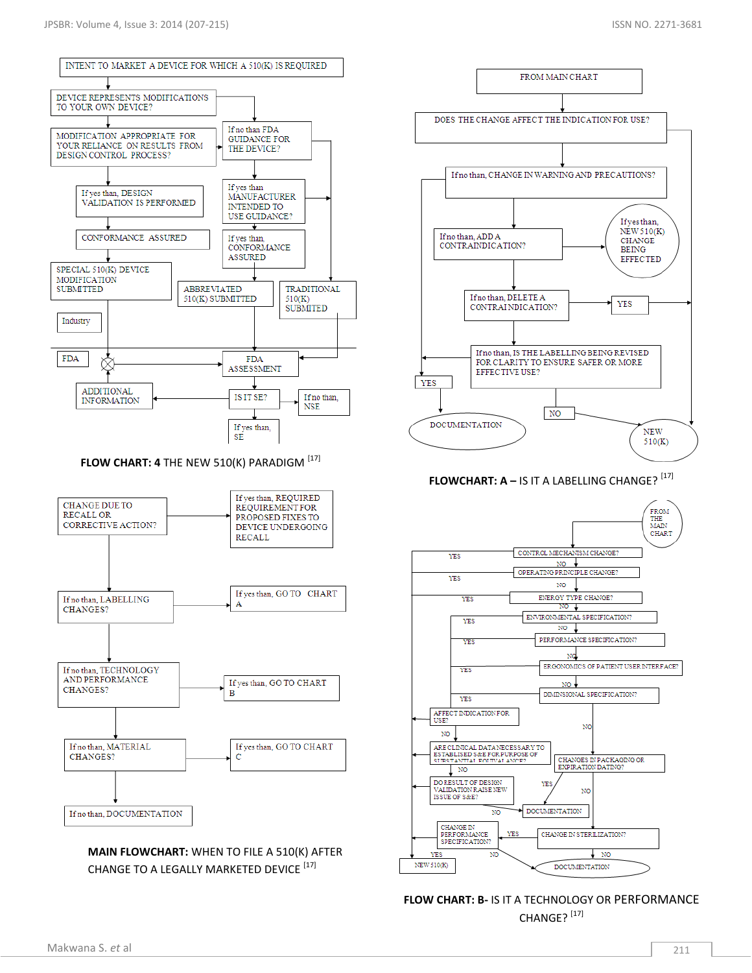

**MAIN FLOWCHART:** WHEN TO FILE A 510(K) AFTER CHANGE TO A LEGALLY MARKETED DEVICE [17]



**FLOWCHART: A - IS IT A LABELLING CHANGE?<sup>[17]</sup>** 



**FLOW CHART: B-** IS IT A TECHNOLOGY OR PERFORMANCE CHANGE?<sup>[17]</sup>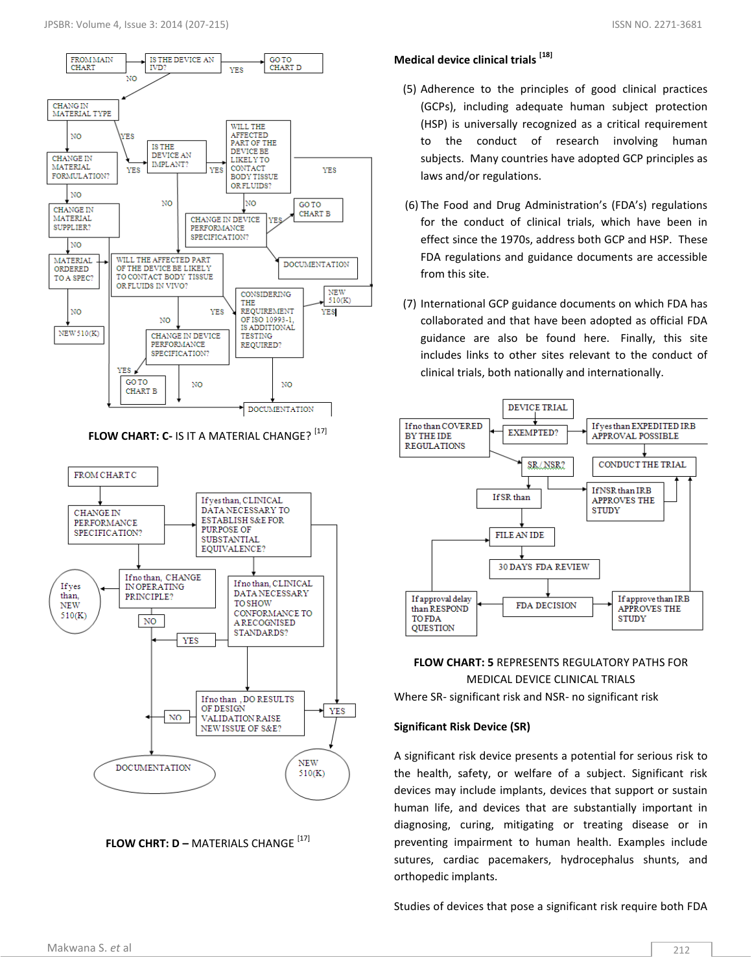N<sub>O</sub>

**CHANGE IN** 

**MATERIAL** 

NO<sub>1</sub>

**CHANGE IN** 

MATERIAL

SUPPLIER?

ORDERED

TO A SPECT

NO

NEW 510(K)

NO **MATERIAL** 



**THE** REQUIREMENT

OF ISO 10993-1 IS ADDITIONAL

 $NO$ 

DOCUMENTATION

**TESTING** 

REQUIRED?

YES

YES

NO

**YES** GO TO

**CHART R** 

CHANGE IN DEVICE

PERFORMANCE

SPECIFICATION?

# from this site. (7) International GCP guidance documents on which FDA has collaborated and that have been adopted as official FDA guidance are also be found here. Finally, this site includes links to other sites relevant to the conduct of

(GCPs), including adequate human subject protection (HSP) is universally recognized as a critical requirement to the conduct of research involving human subjects. Many countries have adopted GCP principles as

for the conduct of clinical trials, which have been in effect since the 1970s, address both GCP and HSP. These FDA regulations and guidance documents are accessible

laws and/or regulations.



# **FLOW CHART: 5** REPRESENTS REGULATORY PATHS FOR MEDICAL DEVICE CLINICAL TRIALS

Where SR- significant risk and NSR- no significant risk

## **Significant Risk Device (SR)**

A significant risk device presents a potential for serious risk to the health, safety, or welfare of a subject. Significant risk devices may include implants, devices that support or sustain human life, and devices that are substantially important in diagnosing, curing, mitigating or treating disease or in preventing impairment to human health. Examples include sutures, cardiac pacemakers, hydrocephalus shunts, and orthopedic implants.

Studies of devices that pose a significant risk require both FDA

**FLOW CHART: C- IS IT A MATERIAL CHANGE?** [17]

 $N<sub>O</sub>$ 

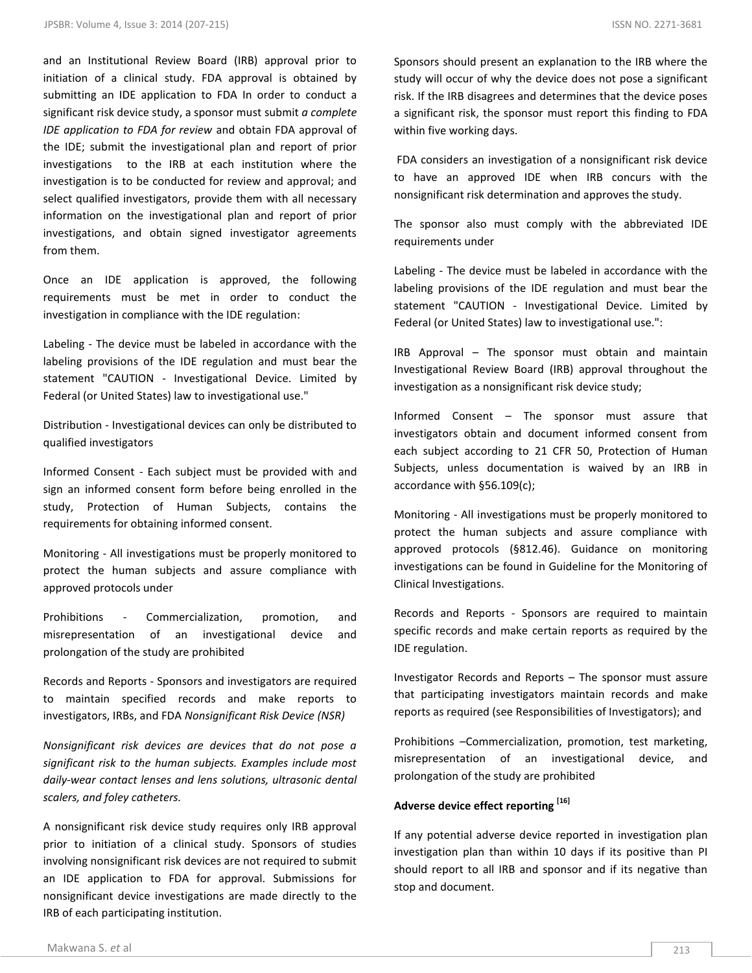and an Institutional Review Board (IRB) approval prior to initiation of a clinical study. FDA approval is obtained by submitting an IDE application to FDA In order to conduct a significant risk device study, a sponsor must submit *a complete IDE application to FDA for review* and obtain FDA approval of the IDE; submit the investigational plan and report of prior investigations to the IRB at each institution where the investigation is to be conducted for review and approval; and select qualified investigators, provide them with all necessary information on the investigational plan and report of prior investigations, and obtain signed investigator agreements from them.

Once an IDE application is approved, the following requirements must be met in order to conduct the investigation in compliance with the IDE regulation:

Labeling - The device must be labeled in accordance with the labeling provisions of the IDE regulation and must bear the statement "CAUTION - Investigational Device. Limited by Federal (or United States) law to investigational use."

Distribution - Investigational devices can only be distributed to qualified investigators

Informed Consent - Each subject must be provided with and sign an informed consent form before being enrolled in the study, Protection of Human Subjects, contains the requirements for obtaining informed consent.

Monitoring - All investigations must be properly monitored to protect the human subjects and assure compliance with approved protocols under

Prohibitions - Commercialization, promotion, and misrepresentation of an investigational device and prolongation of the study are prohibited

Records and Reports - Sponsors and investigators are required to maintain specified records and make reports to investigators, IRBs, and FDA *Nonsignificant Risk Device (NSR)*

*Nonsignificant risk devices are devices that do not pose a significant risk to the human subjects. Examples include most daily-wear contact lenses and lens solutions, ultrasonic dental scalers, and foley catheters.*

A nonsignificant risk device study requires only IRB approval prior to initiation of a clinical study. Sponsors of studies involving nonsignificant risk devices are not required to submit an IDE application to FDA for approval. Submissions for nonsignificant device investigations are made directly to the IRB of each participating institution.

Sponsors should present an explanation to the IRB where the study will occur of why the device does not pose a significant risk. If the IRB disagrees and determines that the device poses a significant risk, the sponsor must report this finding to FDA within five working days.

FDA considers an investigation of a nonsignificant risk device to have an approved IDE when IRB concurs with the nonsignificant risk determination and approves the study.

The sponsor also must comply with the abbreviated IDE requirements under

Labeling - The device must be labeled in accordance with the labeling provisions of the IDE regulation and must bear the statement "CAUTION - Investigational Device. Limited by Federal (or United States) law to investigational use.":

IRB Approval – The sponsor must obtain and maintain Investigational Review Board (IRB) approval throughout the investigation as a nonsignificant risk device study;

Informed Consent – The sponsor must assure that investigators obtain and document informed consent from each subject according to [21 CFR 50,](http://www.accessdata.fda.gov/scripts/cdrh/cfdocs/cfCFR/CFRSearch.cfm?CFRPart=50) Protection of Human Subjects, unless documentation is waived by an IRB in accordance with §56.109(c);

Monitoring - All investigations must be properly monitored to protect the human subjects and assure compliance with approved protocols (§812.46). Guidance on monitoring investigations can be found in Guideline for the Monitoring of Clinical Investigations.

Records and Reports - Sponsors are required to maintain specific records and make certain reports as required by the IDE regulation.

Investigator Records and Reports – The sponsor must assure that participating investigators maintain records and make reports as required (see Responsibilities of Investigators); and

Prohibitions –Commercialization, promotion, test marketing, misrepresentation of an investigational device, and prolongation of the study are prohibited

# **Adverse device effect reporting [16]**

If any potential adverse device reported in investigation plan investigation plan than within 10 days if its positive than PI should report to all IRB and sponsor and if its negative than stop and document.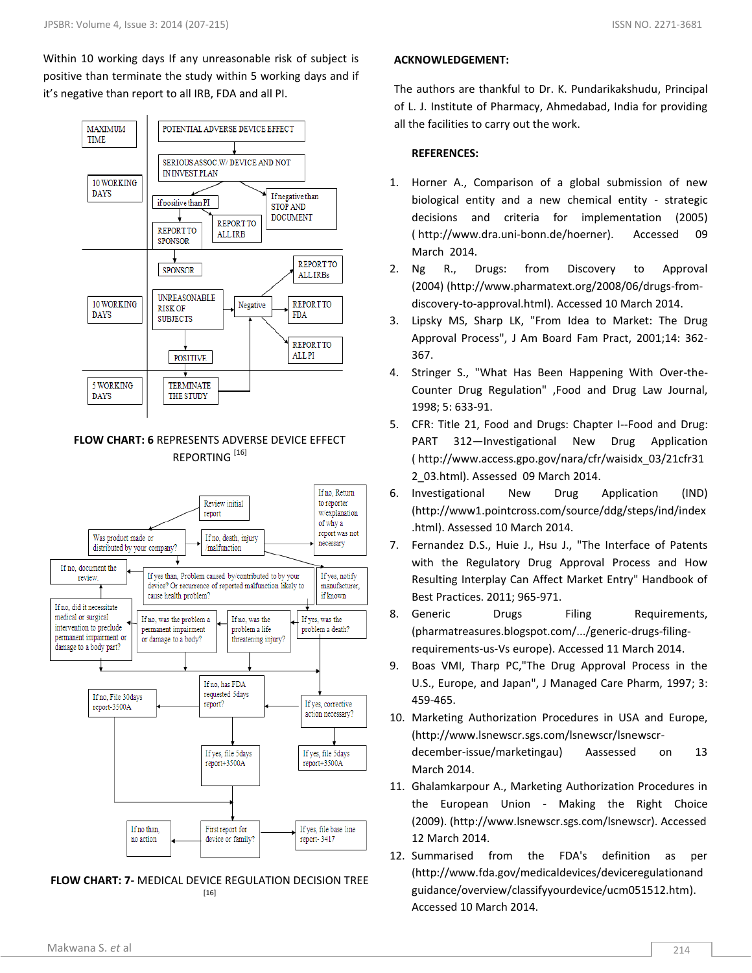Within 10 working days If any unreasonable risk of subject is positive than terminate the study within 5 working days and if it's negative than report to all IRB, FDA and all PI.



# **FLOW CHART: 6** REPRESENTS ADVERSE DEVICE EFFECT REPORTING<sup>[16]</sup>



#### **FLOW CHART: 7-** MEDICAL DEVICE REGULATION DECISION TREE [16]

### **ACKNOWLEDGEMENT:**

The authors are thankful to Dr. K. Pundarikakshudu, Principal of L. J. Institute of Pharmacy, Ahmedabad, India for providing all the facilities to carry out the work.

#### **REFERENCES:**

- 1. Horner A., Comparison of a global submission of new biological entity and a new chemical entity - strategic decisions and criteria for implementation (2005) ( http://www.dra.uni-bonn.de/hoerner). Accessed 09 March 2014.
- 2. Ng R., Drugs: from Discovery to Approval (2004) (http://www.pharmatext.org/2008/06/drugs-fromdiscovery-to-approval.html). Accessed 10 March 2014.
- 3. Lipsky MS, Sharp LK, "From Idea to Market: The Drug Approval Process", J Am Board Fam Pract, 2001;14: 362- 367.
- 4. Stringer S., "What Has Been Happening With Over-the-Counter Drug Regulation" ,Food and Drug Law Journal, 1998; 5: 633-91.
- 5. CFR: Title 21, Food and Drugs: Chapter I--Food and Drug: PART 312—Investigational New Drug Application ( http://www.access.gpo.gov/nara/cfr/waisidx\_03/21cfr31 2\_03.html). Assessed 09 March 2014.
- 6. Investigational New Drug Application (IND) (http://www1.pointcross.com/source/ddg/steps/ind/index .html). Assessed 10 March 2014.
- 7. Fernandez D.S., Huie J., Hsu J., "The Interface of Patents with the Regulatory Drug Approval Process and How Resulting Interplay Can Affect Market Entry" Handbook of Best Practices. 2011; 965-971.
- 8. Generic Drugs Filing Requirements, (pharmatreasures.blogspot.com/.../generic-drugs-filingrequirements-us-Vs europe). Accessed 11 March 2014.
- 9. Boas VMI, Tharp PC,"The Drug Approval Process in the U.S., Europe, and Japan", J Managed Care Pharm, 1997; 3: 459-465.
- 10. Marketing Authorization Procedures in USA and Europe, (http://www.lsnewscr.sgs.com/lsnewscr/lsnewscrdecember-issue/marketingau) Aassessed on 13 March 2014.
- 11. Ghalamkarpour A., Marketing Authorization Procedures in the European Union - Making the Right Choice (2009). (http://www.lsnewscr.sgs.com/lsnewscr). Accessed 12 March 2014.
- 12. Summarised from the FDA's definition as per [\(http://www.fda.gov/medicaldevices/deviceregulationand](http://www.fda.gov/medicaldevices/deviceregulationandguidance/overview/classifyyourdevice/ucm051512.htm) [guidance/overview/classifyyourdevice/ucm051512.htm\)](http://www.fda.gov/medicaldevices/deviceregulationandguidance/overview/classifyyourdevice/ucm051512.htm). Accessed 10 March 2014.